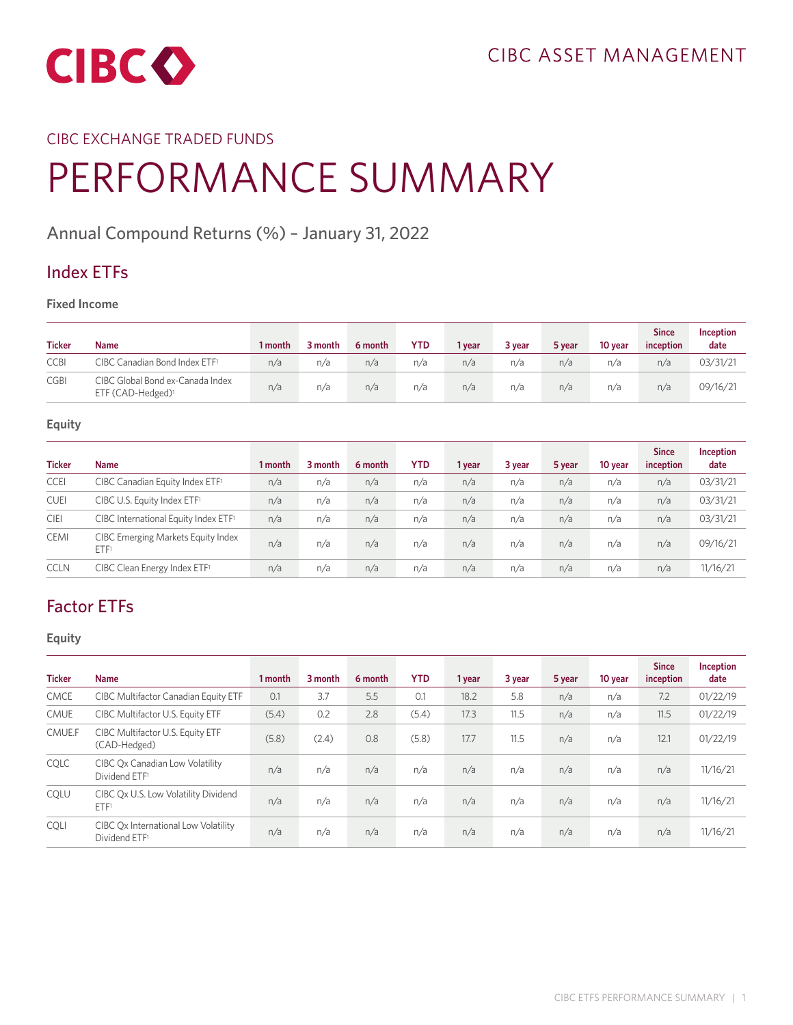

## CIBC EXCHANGE TRADED FUNDS

# PERFORMANCE SUMMARY

## **Annual Compound Returns (%) – January 31, 2022**

## **Index ETFs**

**Fixed Income**

| <b>Ticker</b> | Name                                                              | 1 month | 3 month | 6 month | <b>YTD</b> | 1 year | 3 year | 5 year | 10 year | <b>Since</b><br>inception | Inception<br>date |
|---------------|-------------------------------------------------------------------|---------|---------|---------|------------|--------|--------|--------|---------|---------------------------|-------------------|
| <b>CCBI</b>   | CIBC Canadian Bond Index ETF1                                     | n/a     | n/a     | n/a     | n/a        | n/a    | n/a    | n/a    | n/a     | n/a                       | 03/31/21          |
| <b>CGBI</b>   | CIBC Global Bond ex-Canada Index<br>ETF (CAD-Hedged) <sup>1</sup> | n/a     | n/a     | n/a     | n/a        | n/a    | n/a    | n/a    | n/a     | n/a                       | 09/16/21          |

#### **Equity**

| <b>Ticker</b> | <b>Name</b>                                       | 1 month | 3 month | 6 month | <b>YTD</b> | 1 year | 3 year | 5 year | 10 year | <b>Since</b><br>inception | Inception<br>date |
|---------------|---------------------------------------------------|---------|---------|---------|------------|--------|--------|--------|---------|---------------------------|-------------------|
| <b>CCEI</b>   | CIBC Canadian Equity Index ETF <sup>1</sup>       | n/a     | n/a     | n/a     | n/a        | n/a    | n/a    | n/a    | n/a     | n/a                       | 03/31/21          |
| <b>CUEI</b>   | CIBC U.S. Equity Index ETF <sup>1</sup>           | n/a     | n/a     | n/a     | n/a        | n/a    | n/a    | n/a    | n/a     | n/a                       | 03/31/21          |
| <b>CIEI</b>   | CIBC International Equity Index ETF1              | n/a     | n/a     | n/a     | n/a        | n/a    | n/a    | n/a    | n/a     | n/a                       | 03/31/21          |
| <b>CEMI</b>   | <b>CIBC Emerging Markets Equity Index</b><br>ETF1 | n/a     | n/a     | n/a     | n/a        | n/a    | n/a    | n/a    | n/a     | n/a                       | 09/16/21          |
| <b>CCLN</b>   | CIBC Clean Energy Index ETF <sup>1</sup>          | n/a     | n/a     | n/a     | n/a        | n/a    | n/a    | n/a    | n/a     | n/a                       | 11/16/21          |

# **Factor ETFs**

|               |                                                                   |         |         |         |            |        |        |        |         | <b>Since</b> | Inception |
|---------------|-------------------------------------------------------------------|---------|---------|---------|------------|--------|--------|--------|---------|--------------|-----------|
| <b>Ticker</b> | <b>Name</b>                                                       | 1 month | 3 month | 6 month | <b>YTD</b> | 1 year | 3 year | 5 year | 10 year | inception    | date      |
| <b>CMCE</b>   | CIBC Multifactor Canadian Equity ETF                              | 0.1     | 3.7     | 5.5     | 0.1        | 18.2   | 5.8    | n/a    | n/a     | 7.2          | 01/22/19  |
| <b>CMUE</b>   | CIBC Multifactor U.S. Equity ETF                                  | (5.4)   | 0.2     | 2.8     | (5.4)      | 17.3   | 11.5   | n/a    | n/a     | 11.5         | 01/22/19  |
| CMUE.F        | CIBC Multifactor U.S. Equity ETF<br>(CAD-Hedged)                  | (5.8)   | (2.4)   | 0.8     | (5.8)      | 17.7   | 11.5   | n/a    | n/a     | 12.1         | 01/22/19  |
| <b>COLC</b>   | CIBC Qx Canadian Low Volatility<br>Dividend ETF <sup>1</sup>      | n/a     | n/a     | n/a     | n/a        | n/a    | n/a    | n/a    | n/a     | n/a          | 11/16/21  |
| <b>COLU</b>   | CIBC Ox U.S. Low Volatility Dividend<br>ETF1                      | n/a     | n/a     | n/a     | n/a        | n/a    | n/a    | n/a    | n/a     | n/a          | 11/16/21  |
| <b>COLI</b>   | CIBC Ox International Low Volatility<br>Dividend ETF <sup>1</sup> | n/a     | n/a     | n/a     | n/a        | n/a    | n/a    | n/a    | n/a     | n/a          | 11/16/21  |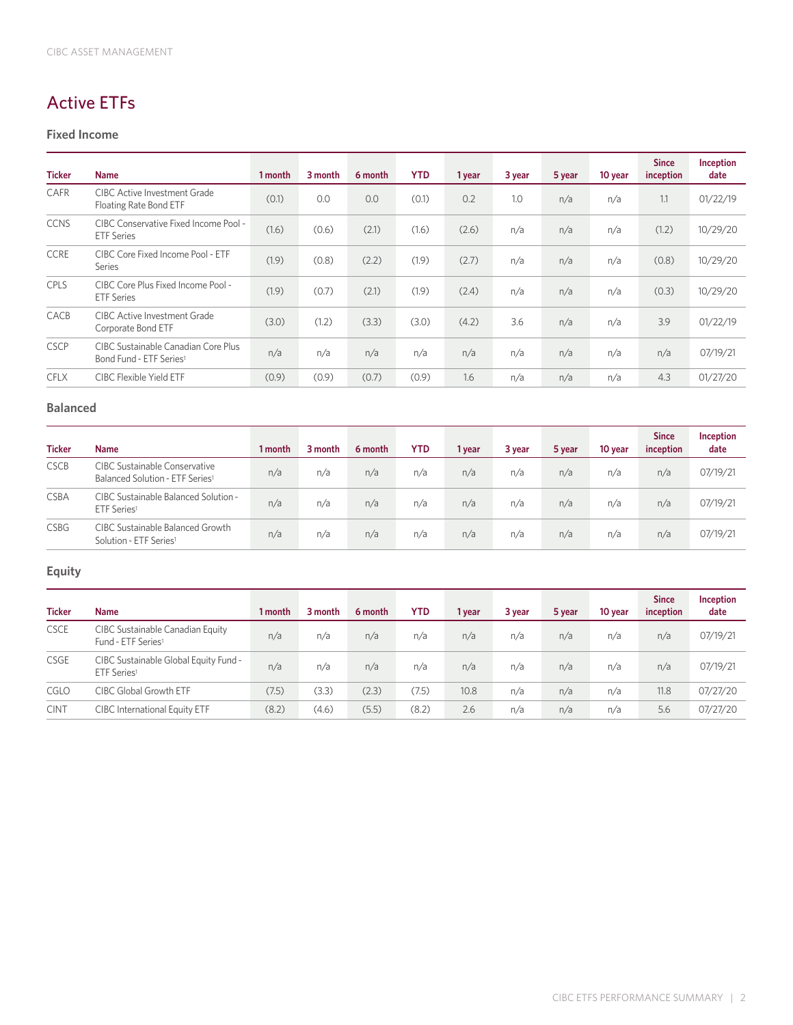# **Active ETFs**

#### **Fixed Income**

| <b>Ticker</b> | <b>Name</b>                                                                | 1 month | 3 month | 6 month | <b>YTD</b> | 1 year | 3 year | 5 year | 10 year | <b>Since</b><br>inception | Inception<br>date |
|---------------|----------------------------------------------------------------------------|---------|---------|---------|------------|--------|--------|--------|---------|---------------------------|-------------------|
| CAFR          | <b>CIBC Active Investment Grade</b><br>Floating Rate Bond ETF              | (0.1)   | 0.0     | 0.0     | (0.1)      | 0.2    | 1.0    | n/a    | n/a     | 1.1                       | 01/22/19          |
| <b>CCNS</b>   | CIBC Conservative Fixed Income Pool -<br><b>ETF</b> Series                 | (1.6)   | (0.6)   | (2.1)   | (1.6)      | (2.6)  | n/a    | n/a    | n/a     | (1.2)                     | 10/29/20          |
| <b>CCRE</b>   | CIBC Core Fixed Income Pool - ETF<br>Series                                | (1.9)   | (0.8)   | (2.2)   | (1.9)      | (2.7)  | n/a    | n/a    | n/a     | (0.8)                     | 10/29/20          |
| <b>CPLS</b>   | CIBC Core Plus Fixed Income Pool -<br><b>ETF</b> Series                    | (1.9)   | (0.7)   | (2.1)   | (1.9)      | (2.4)  | n/a    | n/a    | n/a     | (0.3)                     | 10/29/20          |
| CACB          | <b>CIBC Active Investment Grade</b><br>Corporate Bond ETF                  | (3.0)   | (1.2)   | (3.3)   | (3.0)      | (4.2)  | 3.6    | n/a    | n/a     | 3.9                       | 01/22/19          |
| <b>CSCP</b>   | CIBC Sustainable Canadian Core Plus<br>Bond Fund - ETF Series <sup>1</sup> | n/a     | n/a     | n/a     | n/a        | n/a    | n/a    | n/a    | n/a     | n/a                       | 07/19/21          |
| <b>CFLX</b>   | <b>CIBC Flexible Yield ETF</b>                                             | (0.9)   | (0.9)   | (0.7)   | (0.9)      | 1.6    | n/a    | n/a    | n/a     | 4.3                       | 01/27/20          |

#### **Balanced**

| <b>Ticker</b> | <b>Name</b>                                                                  | 1 month | 3 month | 6 month | <b>YTD</b> | 1 vear | 3 year | 5 year | 10 year | <b>Since</b><br>inception | Inception<br>date |
|---------------|------------------------------------------------------------------------------|---------|---------|---------|------------|--------|--------|--------|---------|---------------------------|-------------------|
| <b>CSCB</b>   | CIBC Sustainable Conservative<br>Balanced Solution - ETF Series <sup>1</sup> | n/a     | n/a     | n/a     | n/a        | n/a    | n/a    | n/a    | n/a     | n/a                       | 07/19/21          |
| <b>CSBA</b>   | CIBC Sustainable Balanced Solution -<br>ETF Series1                          | n/a     | n/a     | n/a     | n/a        | n/a    | n/a    | n/a    | n/a     | n/a                       | 07/19/21          |
| <b>CSBG</b>   | CIBC Sustainable Balanced Growth<br>Solution - ETF Series <sup>1</sup>       | n/a     | n/a     | n/a     | n/a        | n/a    | n/a    | n/a    | n/a     | n/a                       | 07/19/21          |

| <b>Ticker</b> | <b>Name</b>                                                        | 1 month | 3 month | 6 month | <b>YTD</b> | 1 year | 3 year | 5 year | 10 year | <b>Since</b><br>inception | <b>Inception</b><br>date |
|---------------|--------------------------------------------------------------------|---------|---------|---------|------------|--------|--------|--------|---------|---------------------------|--------------------------|
| <b>CSCE</b>   | CIBC Sustainable Canadian Equity<br>Fund - ETF Series <sup>1</sup> | n/a     | n/a     | n/a     | n/a        | n/a    | n/a    | n/a    | n/a     | n/a                       | 07/19/21                 |
| <b>CSGE</b>   | CIBC Sustainable Global Equity Fund -<br>ETF Series <sup>1</sup>   | n/a     | n/a     | n/a     | n/a        | n/a    | n/a    | n/a    | n/a     | n/a                       | 07/19/21                 |
| CGLO          | <b>CIBC Global Growth ETF</b>                                      | (7.5)   | (3.3)   | (2.3)   | (7.5)      | 10.8   | n/a    | n/a    | n/a     | 11.8                      | 07/27/20                 |
| <b>CINT</b>   | <b>CIBC</b> International Equity ETF                               | (8.2)   | (4.6)   | (5.5)   | (8.2)      | 2.6    | n/a    | n/a    | n/a     | 5.6                       | 07/27/20                 |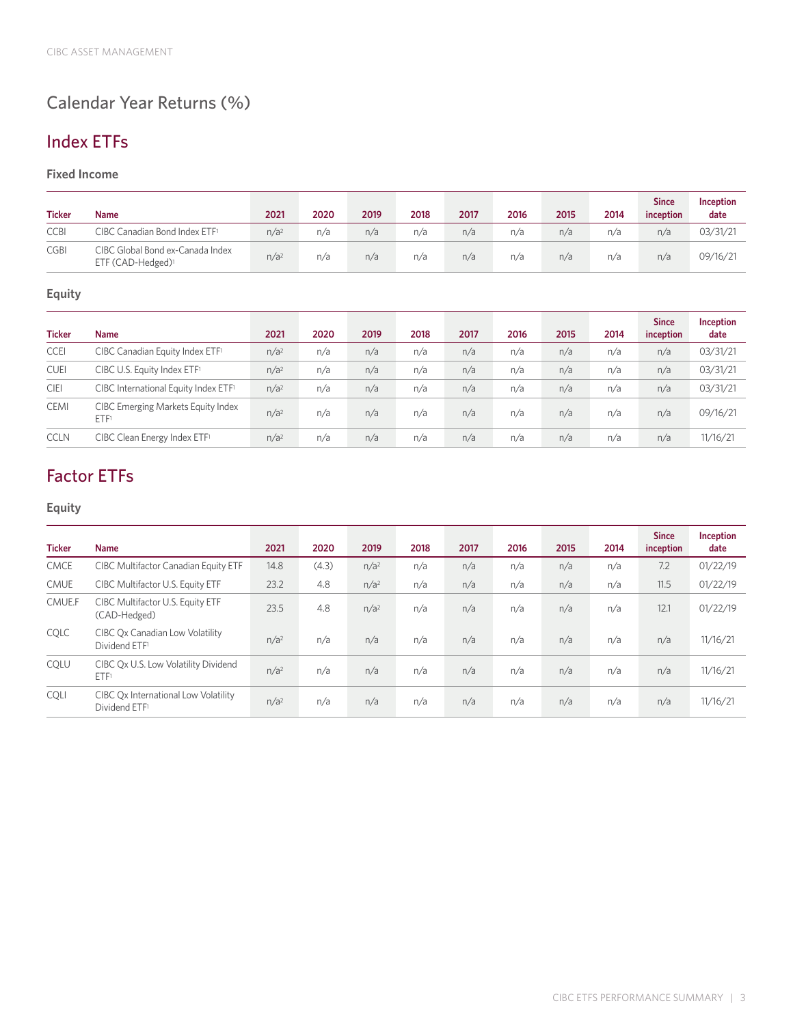# **Calendar Year Returns (%)**

# **Index ETFs**

#### **Fixed Income**

| <b>Ticker</b> | <b>Name</b>                                                       | 2021             | 2020 | 2019 | 2018 | 2017 | 2016 | 2015 | 2014 | <b>Since</b><br>inception | Inception<br>date |
|---------------|-------------------------------------------------------------------|------------------|------|------|------|------|------|------|------|---------------------------|-------------------|
| <b>CCBI</b>   | CIBC Canadian Bond Index ETF1                                     | n/a <sup>2</sup> | n/a  | n/a  | n/a  | n/a  | n/a  | n/a  | n/a  | n/a                       | 03/31/21          |
| <b>CGBI</b>   | CIBC Global Bond ex-Canada Index<br>ETF (CAD-Hedged) <sup>1</sup> | n/a <sup>2</sup> | n/a  | n/a  | n/a  | n/a  | n/a  | n/a  | n/a  | n/a                       | 09/16/21          |

### **Equity**

| <b>Ticker</b> | <b>Name</b>                                 | 2021             | 2020 | 2019 | 2018 | 2017 | 2016 | 2015 | 2014 | <b>Since</b><br>inception | Inception<br>date |
|---------------|---------------------------------------------|------------------|------|------|------|------|------|------|------|---------------------------|-------------------|
| <b>CCEI</b>   | CIBC Canadian Equity Index ETF <sup>1</sup> | n/a <sup>2</sup> | n/a  | n/a  | n/a  | n/a  | n/a  | n/a  | n/a  | n/a                       | 03/31/21          |
| <b>CUEI</b>   | CIBC U.S. Equity Index ETF <sup>1</sup>     | n/a <sup>2</sup> | n/a  | n/a  | n/a  | n/a  | n/a  | n/a  | n/a  | n/a                       | 03/31/21          |
| <b>CIEI</b>   | CIBC International Equity Index ETF1        | n/a <sup>2</sup> | n/a  | n/a  | n/a  | n/a  | n/a  | n/a  | n/a  | n/a                       | 03/31/21          |
| <b>CEMI</b>   | CIBC Emerging Markets Equity Index<br>ETF1  | n/a <sup>2</sup> | n/a  | n/a  | n/a  | n/a  | n/a  | n/a  | n/a  | n/a                       | 09/16/21          |
| <b>CCLN</b>   | CIBC Clean Energy Index ETF1                | n/a <sup>2</sup> | n/a  | n/a  | n/a  | n/a  | n/a  | n/a  | n/a  | n/a                       | 11/16/21          |

# **Factor ETFs**

| <b>Ticker</b> | <b>Name</b>                                                       | 2021             | 2020  | 2019             | 2018 | 2017 | 2016 | 2015 | 2014 | <b>Since</b><br>inception | Inception<br>date |
|---------------|-------------------------------------------------------------------|------------------|-------|------------------|------|------|------|------|------|---------------------------|-------------------|
| <b>CMCE</b>   | CIBC Multifactor Canadian Equity ETF                              | 14.8             | (4.3) | n/a <sup>2</sup> | n/a  | n/a  | n/a  | n/a  | n/a  | 7.2                       | 01/22/19          |
| <b>CMUE</b>   | CIBC Multifactor U.S. Equity ETF                                  | 23.2             | 4.8   | n/a <sup>2</sup> | n/a  | n/a  | n/a  | n/a  | n/a  | 11.5                      | 01/22/19          |
| CMUE.F        | CIBC Multifactor U.S. Equity ETF<br>(CAD-Hedged)                  | 23.5             | 4.8   | n/a <sup>2</sup> | n/a  | n/a  | n/a  | n/a  | n/a  | 12.1                      | 01/22/19          |
| COLC          | CIBC Ox Canadian Low Volatility<br>Dividend ETF <sup>1</sup>      | n/a <sup>2</sup> | n/a   | n/a              | n/a  | n/a  | n/a  | n/a  | n/a  | n/a                       | 11/16/21          |
| COLU          | CIBC Qx U.S. Low Volatility Dividend<br>ETF1                      | n/a <sup>2</sup> | n/a   | n/a              | n/a  | n/a  | n/a  | n/a  | n/a  | n/a                       | 11/16/21          |
| <b>COLI</b>   | CIBC Ox International Low Volatility<br>Dividend ETF <sup>1</sup> | n/a <sup>2</sup> | n/a   | n/a              | n/a  | n/a  | n/a  | n/a  | n/a  | n/a                       | 11/16/21          |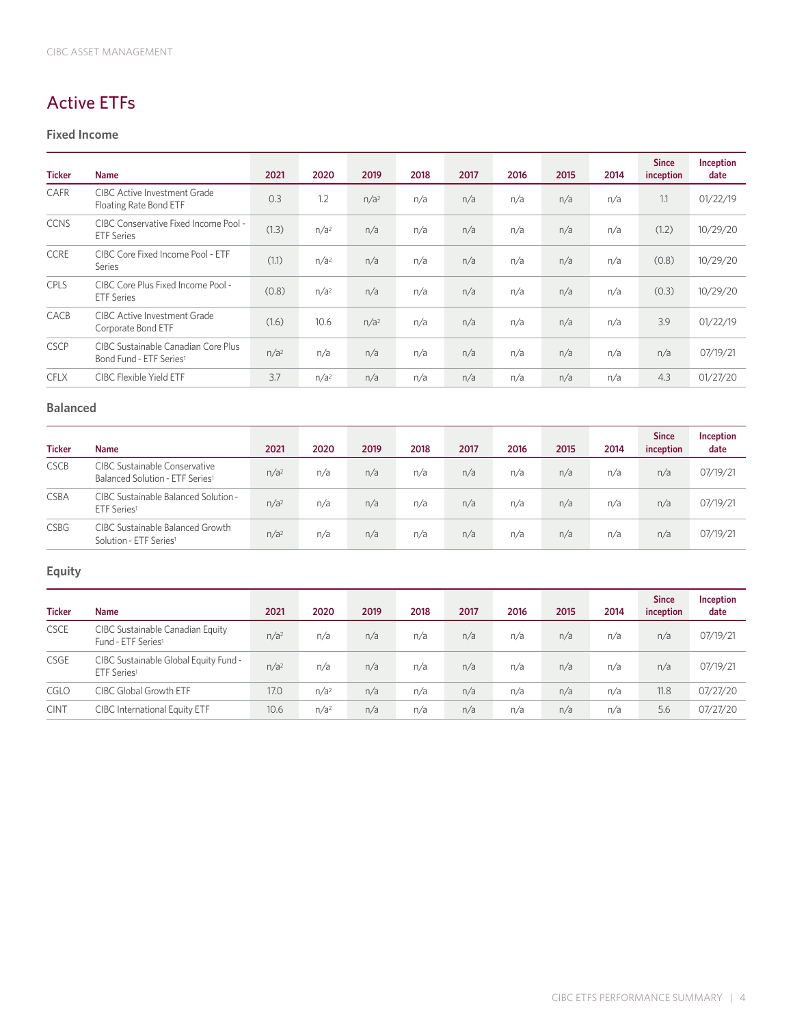# **Active ETFs**

#### **Fixed Income**

| <b>Ticker</b> | <b>Name</b>                                                                | 2021             | 2020             | 2019             | 2018 | 2017 | 2016 | 2015 | 2014 | <b>Since</b><br>inception | Inception<br>date |
|---------------|----------------------------------------------------------------------------|------------------|------------------|------------------|------|------|------|------|------|---------------------------|-------------------|
| CAFR          | <b>CIBC Active Investment Grade</b><br>Floating Rate Bond ETF              | 0.3              | 1.2              | n/a <sup>2</sup> | n/a  | n/a  | n/a  | n/a  | n/a  | 1.1                       | 01/22/19          |
| <b>CCNS</b>   | CIBC Conservative Fixed Income Pool -<br><b>ETF</b> Series                 | (1.3)            | n/a <sup>2</sup> | n/a              | n/a  | n/a  | n/a  | n/a  | n/a  | (1.2)                     | 10/29/20          |
| <b>CCRE</b>   | CIBC Core Fixed Income Pool - ETF<br>Series                                | (1.1)            | n/a <sup>2</sup> | n/a              | n/a  | n/a  | n/a  | n/a  | n/a  | (0.8)                     | 10/29/20          |
| CPLS          | CIBC Core Plus Fixed Income Pool -<br><b>ETF</b> Series                    | (0.8)            | n/a <sup>2</sup> | n/a              | n/a  | n/a  | n/a  | n/a  | n/a  | (0.3)                     | 10/29/20          |
| CACB          | CIBC Active Investment Grade<br>Corporate Bond ETF                         | (1.6)            | 10.6             | n/a <sup>2</sup> | n/a  | n/a  | n/a  | n/a  | n/a  | 3.9                       | 01/22/19          |
| <b>CSCP</b>   | CIBC Sustainable Canadian Core Plus<br>Bond Fund - ETF Series <sup>1</sup> | n/a <sup>2</sup> | n/a              | n/a              | n/a  | n/a  | n/a  | n/a  | n/a  | n/a                       | 07/19/21          |
| <b>CFLX</b>   | CIBC Flexible Yield ETF                                                    | 3.7              | n/a <sup>2</sup> | n/a              | n/a  | n/a  | n/a  | n/a  | n/a  | 4.3                       | 01/27/20          |

#### **Balanced**

| <b>Ticker</b> | <b>Name</b>                                                                         | 2021             | 2020 | 2019 | 2018 | 2017 | 2016 | 2015 | 2014 | <b>Since</b><br>inception | Inception<br>date |
|---------------|-------------------------------------------------------------------------------------|------------------|------|------|------|------|------|------|------|---------------------------|-------------------|
| <b>CSCB</b>   | <b>CIBC Sustainable Conservative</b><br>Balanced Solution - ETF Series <sup>1</sup> | n/a <sup>2</sup> | n/a  | n/a  | n/a  | n/a  | n/a  | n/a  | n/a  | n/a                       | 07/19/21          |
| <b>CSBA</b>   | CIBC Sustainable Balanced Solution -<br>ETF Series <sup>1</sup>                     | n/a <sup>2</sup> | n/a  | n/a  | n/a  | n/a  | n/a  | n/a  | n/a  | n/a                       | 07/19/21          |
| <b>CSBG</b>   | CIBC Sustainable Balanced Growth<br>Solution - ETF Series <sup>1</sup>              | n/a <sup>2</sup> | n/a  | n/a  | n/a  | n/a  | n/a  | n/a  | n/a  | n/a                       | 07/19/21          |

| <b>Ticker</b> | <b>Name</b>                                                        | 2021             | 2020             | 2019 | 2018 | 2017 | 2016 | 2015 | 2014 | <b>Since</b><br>inception | Inception<br>date |
|---------------|--------------------------------------------------------------------|------------------|------------------|------|------|------|------|------|------|---------------------------|-------------------|
| <b>CSCE</b>   | CIBC Sustainable Canadian Equity<br>Fund - ETF Series <sup>1</sup> | n/a <sup>2</sup> | n/a              | n/a  | n/a  | n/a  | n/a  | n/a  | n/a  | n/a                       | 07/19/21          |
| <b>CSGE</b>   | CIBC Sustainable Global Equity Fund -<br>ETF Series <sup>1</sup>   | n/a <sup>2</sup> | n/a              | n/a  | n/a  | n/a  | n/a  | n/a  | n/a  | n/a                       | 07/19/21          |
| <b>CGLO</b>   | CIBC Global Growth ETF                                             | 17.0             | n/a <sup>2</sup> | n/a  | n/a  | n/a  | n/a  | n/a  | n/a  | 11.8                      | 07/27/20          |
| <b>CINT</b>   | <b>CIBC</b> International Equity ETF                               | 10.6             | n/a <sup>2</sup> | n/a  | n/a  | n/a  | n/a  | n/a  | n/a  | 5.6                       | 07/27/20          |